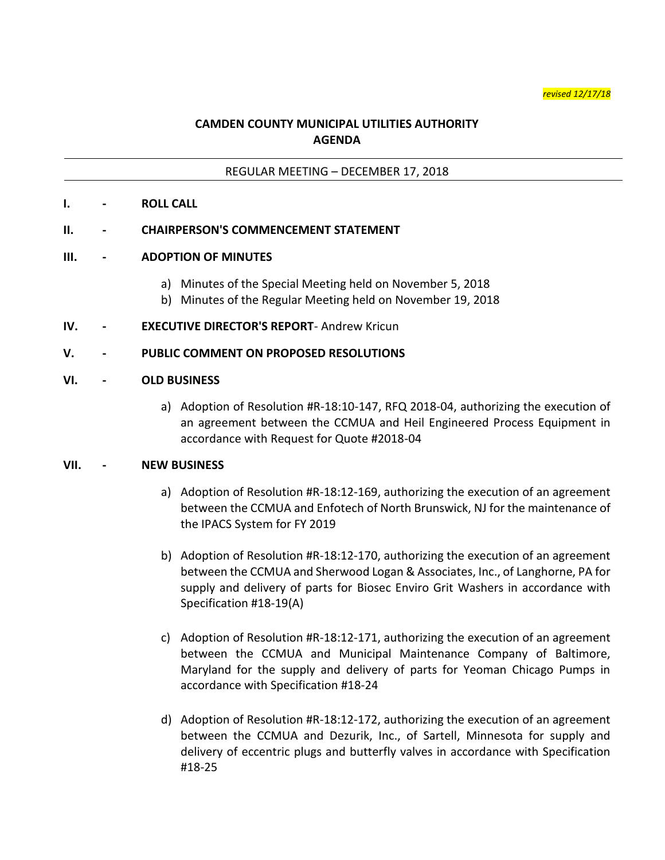*revised 12/17/18*

# **CAMDEN COUNTY MUNICIPAL UTILITIES AUTHORITY AGENDA**

### REGULAR MEETING – DECEMBER 17, 2018

#### **I. - ROLL CALL**

#### **II. - CHAIRPERSON'S COMMENCEMENT STATEMENT**

#### **III. - ADOPTION OF MINUTES**

- a) Minutes of the Special Meeting held on November 5, 2018
- b) Minutes of the Regular Meeting held on November 19, 2018
- **IV. - EXECUTIVE DIRECTOR'S REPORT** Andrew Kricun

#### **V. - PUBLIC COMMENT ON PROPOSED RESOLUTIONS**

#### **VI. - OLD BUSINESS**

a) Adoption of Resolution #R-18:10-147, RFQ 2018-04, authorizing the execution of an agreement between the CCMUA and Heil Engineered Process Equipment in accordance with Request for Quote #2018-04

#### **VII. - NEW BUSINESS**

- a) Adoption of Resolution #R-18:12-169, authorizing the execution of an agreement between the CCMUA and Enfotech of North Brunswick, NJ for the maintenance of the IPACS System for FY 2019
- b) Adoption of Resolution #R-18:12-170, authorizing the execution of an agreement between the CCMUA and Sherwood Logan & Associates, Inc., of Langhorne, PA for supply and delivery of parts for Biosec Enviro Grit Washers in accordance with Specification #18-19(A)
- c) Adoption of Resolution #R-18:12-171, authorizing the execution of an agreement between the CCMUA and Municipal Maintenance Company of Baltimore, Maryland for the supply and delivery of parts for Yeoman Chicago Pumps in accordance with Specification #18-24
- d) Adoption of Resolution #R-18:12-172, authorizing the execution of an agreement between the CCMUA and Dezurik, Inc., of Sartell, Minnesota for supply and delivery of eccentric plugs and butterfly valves in accordance with Specification #18-25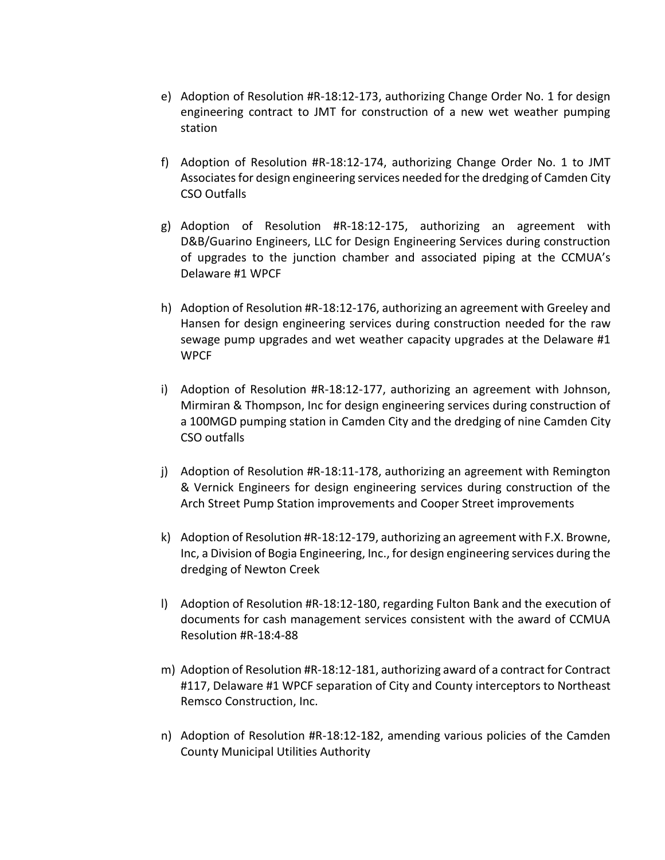- e) Adoption of Resolution #R-18:12-173, authorizing Change Order No. 1 for design engineering contract to JMT for construction of a new wet weather pumping station
- f) Adoption of Resolution #R-18:12-174, authorizing Change Order No. 1 to JMT Associates for design engineering services needed for the dredging of Camden City CSO Outfalls
- g) Adoption of Resolution #R-18:12-175, authorizing an agreement with D&B/Guarino Engineers, LLC for Design Engineering Services during construction of upgrades to the junction chamber and associated piping at the CCMUA's Delaware #1 WPCF
- h) Adoption of Resolution #R-18:12-176, authorizing an agreement with Greeley and Hansen for design engineering services during construction needed for the raw sewage pump upgrades and wet weather capacity upgrades at the Delaware #1 WPCF
- i) Adoption of Resolution #R-18:12-177, authorizing an agreement with Johnson, Mirmiran & Thompson, Inc for design engineering services during construction of a 100MGD pumping station in Camden City and the dredging of nine Camden City CSO outfalls
- j) Adoption of Resolution #R-18:11-178, authorizing an agreement with Remington & Vernick Engineers for design engineering services during construction of the Arch Street Pump Station improvements and Cooper Street improvements
- k) Adoption of Resolution #R-18:12-179, authorizing an agreement with F.X. Browne, Inc, a Division of Bogia Engineering, Inc., for design engineering services during the dredging of Newton Creek
- l) Adoption of Resolution #R-18:12-180, regarding Fulton Bank and the execution of documents for cash management services consistent with the award of CCMUA Resolution #R-18:4-88
- m) Adoption of Resolution #R-18:12-181, authorizing award of a contract for Contract #117, Delaware #1 WPCF separation of City and County interceptors to Northeast Remsco Construction, Inc.
- n) Adoption of Resolution #R-18:12-182, amending various policies of the Camden County Municipal Utilities Authority